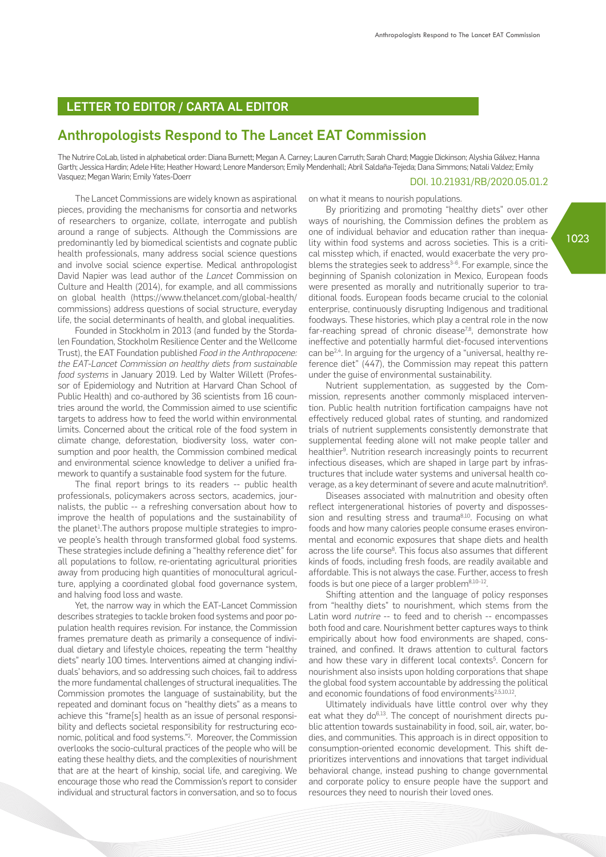## LETTER TO EDITOR / CARTA AL EDITOR

## Anthropologists Respond to The Lancet EAT Commission

The Nutrire CoLab, listed in alphabetical order: Diana Burnett; Megan A. Carney; Lauren Carruth; Sarah Chard; Maggie Dickinson; Alyshia Gálvez; Hanna Garth; Jessica Hardin; Adele Hite; Heather Howard; Lenore Manderson; Emily Mendenhall; Abril Saldaña-Tejeda; Dana Simmons; Natali Valdez; Emily Vasquez; Megan Warin; Emily Yates-Doerr

## DOI. 10.21931/RB/2020.05.01.2

The Lancet Commissions are widely known as aspirational pieces, providing the mechanisms for consortia and networks of researchers to organize, collate, interrogate and publish around a range of subjects. Although the Commissions are predominantly led by biomedical scientists and cognate public health professionals, many address social science questions and involve social science expertise. Medical anthropologist David Napier was lead author of the *Lancet* Commission on Culture and Health (2014), for example, and all commissions on global health (https://www.thelancet.com/global-health/ commissions) address questions of social structure, everyday life, the social determinants of health, and global inequalities.

Founded in Stockholm in 2013 (and funded by the Stordalen Foundation, Stockholm Resilience Center and the Wellcome Trust), the EAT Foundation published *Food in the Anthropocene: the EAT-Lancet Commission on healthy diets from sustainable food systems* in January 2019. Led by Walter Willett (Professor of Epidemiology and Nutrition at Harvard Chan School of Public Health) and co-authored by 36 scientists from 16 countries around the world, the Commission aimed to use scientific targets to address how to feed the world within environmental limits. Concerned about the critical role of the food system in climate change, deforestation, biodiversity loss, water consumption and poor health, the Commission combined medical and environmental science knowledge to deliver a unified framework to quantify a sustainable food system for the future.

The final report brings to its readers -- public health professionals, policymakers across sectors, academics, journalists, the public -- a refreshing conversation about how to improve the health of populations and the sustainability of the planet<sup>1</sup>. The authors propose multiple strategies to improve people's health through transformed global food systems. These strategies include defining a "healthy reference diet" for all populations to follow, re-orientating agricultural priorities away from producing high quantities of monocultural agriculture, applying a coordinated global food governance system, and halving food loss and waste.

Yet, the narrow way in which the EAT-Lancet Commission describes strategies to tackle broken food systems and poor population health requires revision. For instance, the Commission frames premature death as primarily a consequence of individual dietary and lifestyle choices, repeating the term "healthy diets" nearly 100 times. Interventions aimed at changing individuals' behaviors, and so addressing such choices, fail to address the more fundamental challenges of structural inequalities. The Commission promotes the language of sustainability, but the repeated and dominant focus on "healthy diets" as a means to achieve this "frame[s] health as an issue of personal responsibility and deflects societal responsibility for restructuring economic, political and food systems."2 . Moreover, the Commission overlooks the socio-cultural practices of the people who will be eating these healthy diets, and the complexities of nourishment that are at the heart of kinship, social life, and caregiving. We encourage those who read the Commission's report to consider individual and structural factors in conversation, and so to focus

on what it means to nourish populations.

By prioritizing and promoting "healthy diets" over other ways of nourishing, the Commission defines the problem as one of individual behavior and education rather than inequality within food systems and across societies. This is a critical misstep which, if enacted, would exacerbate the very problems the strategies seek to address<sup>3-6</sup>. For example, since the beginning of Spanish colonization in Mexico, European foods were presented as morally and nutritionally superior to traditional foods. European foods became crucial to the colonial enterprise, continuously disrupting Indigenous and traditional foodways. These histories, which play a central role in the now far-reaching spread of chronic disease<sup>7,8</sup>, demonstrate how ineffective and potentially harmful diet-focused interventions can be<sup>2,4</sup>. In arguing for the urgency of a "universal, healthy reference diet" (447), the Commission may repeat this pattern under the guise of environmental sustainability.

Nutrient supplementation, as suggested by the Commission, represents another commonly misplaced intervention. Public health nutrition fortification campaigns have not effectively reduced global rates of stunting, and randomized trials of nutrient supplements consistently demonstrate that supplemental feeding alone will not make people taller and healthier<sup>9</sup>. Nutrition research increasingly points to recurrent infectious diseases, which are shaped in large part by infrastructures that include water systems and universal health coverage, as a key determinant of severe and acute malnutrition<sup>8</sup>.

Diseases associated with malnutrition and obesity often reflect intergenerational histories of poverty and dispossession and resulting stress and trauma<sup>8,10</sup>. Focusing on what foods and how many calories people consume erases environmental and economic exposures that shape diets and health across the life course<sup>8</sup>. This focus also assumes that different kinds of foods, including fresh foods, are readily available and affordable. This is not always the case. Further, access to fresh foods is but one piece of a larger problem<sup>8,10-12</sup>.

Shifting attention and the language of policy responses from "healthy diets" to nourishment, which stems from the Latin word *nutrire* -- to feed and to cherish -- encompasses both food and care. Nourishment better captures ways to think empirically about how food environments are shaped, constrained, and confined. It draws attention to cultural factors and how these vary in different local contexts<sup>5</sup>. Concern for nourishment also insists upon holding corporations that shape the global food system accountable by addressing the political and economic foundations of food environments<sup>2,5,10,12</sup>.

Ultimately individuals have little control over why they eat what they do<sup>6,13</sup>. The concept of nourishment directs public attention towards sustainability in food, soil, air, water, bodies, and communities. This approach is in direct opposition to consumption-oriented economic development. This shift deprioritizes interventions and innovations that target individual behavioral change, instead pushing to change governmental and corporate policy to ensure people have the support and resources they need to nourish their loved ones.